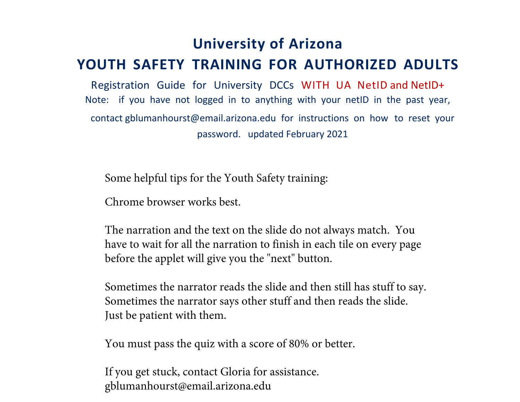## **University of Arizona YOUTH SAFETY TRAINING FOR AUTHORIZED ADULTS**

Registration Guide for University DCCs WITH UA NetID and NetID+ Note: if you have not logged in to anything with your netID in the past year, contact gblumanhourst@email.arizona.edu for instructions on how to reset your password. updated February 2021

Some helpful tips for the Youth Safety training:

Chrome browser works best.

The narration and the text on the slide do not always match. You have to wait for all the narration to finish in each tile on every page before the applet will give you the "next" button.

Sometimes the narrator reads the slide and then still has stuff to say. Sometimes the narrator says other stuff and then reads the slide. Just be patient with them.

You must pass the quiz with a score of 80% or better.

If you get stuck, contact Gloria for assistance. gblumanhourst@email.arizona.edu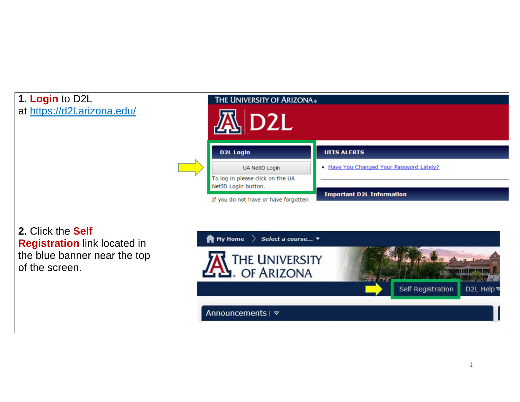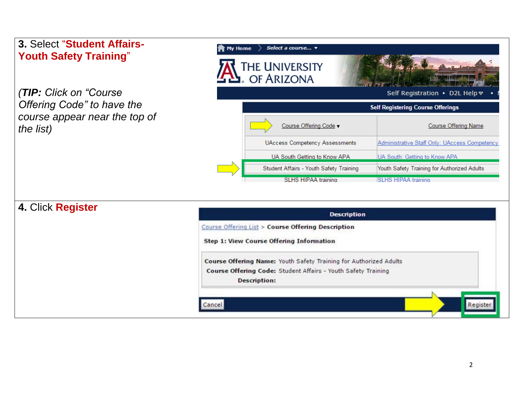| 3. Select "Student Affairs-<br><b>Youth Safety Training"</b>             | Select a course v<br><b>My Home</b><br>The University<br>- Of Arizona                                                                                     |                                               |
|--------------------------------------------------------------------------|-----------------------------------------------------------------------------------------------------------------------------------------------------------|-----------------------------------------------|
| (TIP: Click on "Course"                                                  |                                                                                                                                                           | Self Registration • D2L Help <del>⊽</del>     |
| Offering Code" to have the<br>course appear near the top of<br>the list) |                                                                                                                                                           | <b>Self Registering Course Offerings</b>      |
|                                                                          | Course Offering Code -                                                                                                                                    | <b>Course Offering Name</b>                   |
|                                                                          | <b>UAccess Competency Assessments</b>                                                                                                                     | Administrative Staff Only: UAccess Competency |
|                                                                          | UA South Getting to Know APA                                                                                                                              | UA South: Getting to Know APA                 |
|                                                                          | Student Affairs - Youth Safety Training                                                                                                                   | Youth Safety Training for Authorized Adults   |
|                                                                          | <b>SLHS HIPAA training</b>                                                                                                                                | <b>SLHS HIPAA training</b>                    |
| 4. Click Register                                                        | <b>Description</b>                                                                                                                                        |                                               |
|                                                                          | Course Offering List > Course Offering Description                                                                                                        |                                               |
|                                                                          | <b>Step 1: View Course Offering Information</b>                                                                                                           |                                               |
|                                                                          | Course Offering Name: Youth Safety Training for Authorized Adults<br>Course Offering Code: Student Affairs - Youth Safety Training<br><b>Description:</b> |                                               |
|                                                                          | Cancel                                                                                                                                                    | Registe                                       |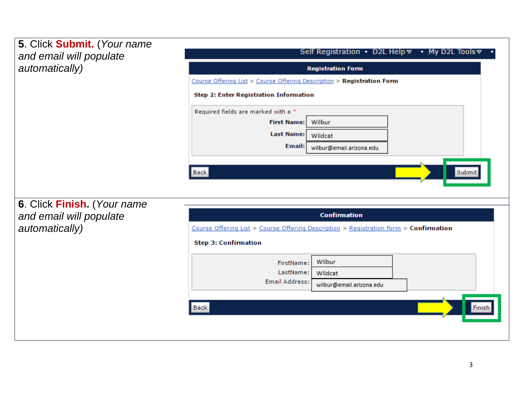| 5. Click Submit. (Your name<br>and email will populate | Self Registration • D2L Help $\triangledown$ • My D2L Tools $\triangledown$           |
|--------------------------------------------------------|---------------------------------------------------------------------------------------|
| automatically)                                         | <b>Registration Form</b>                                                              |
|                                                        | Course Offering List > Course Offering Description > Registration Form                |
|                                                        | <b>Step 2: Enter Registration Information</b>                                         |
|                                                        | Required fields are marked with a *                                                   |
|                                                        | Wilbur<br><b>First Name:</b>                                                          |
|                                                        | <b>Last Name:</b><br>Wildcat                                                          |
|                                                        | Email:<br>wilbur@email.arizona.edu                                                    |
| 6. Click Finish. (Your name<br>and email will populate | <b>Confirmation</b>                                                                   |
| automatically)                                         | Course Offering List > Course Offering Description > Registration Form > Confirmation |
|                                                        | <b>Step 3: Confirmation</b>                                                           |
|                                                        | Wilbur<br>FirstName:                                                                  |
|                                                        | LastName:<br>Wildcat<br><b>Email Address:</b>                                         |
|                                                        | wilbur@email.arizona.edu                                                              |
|                                                        | <b>Back</b><br>Finish                                                                 |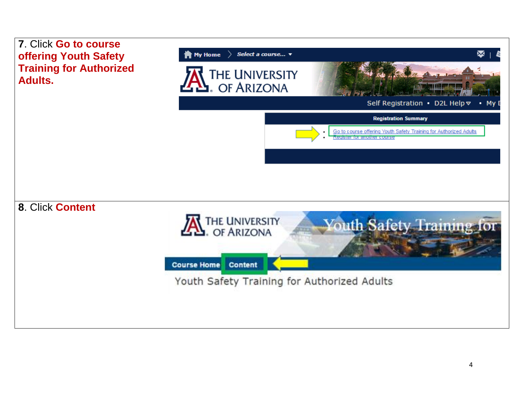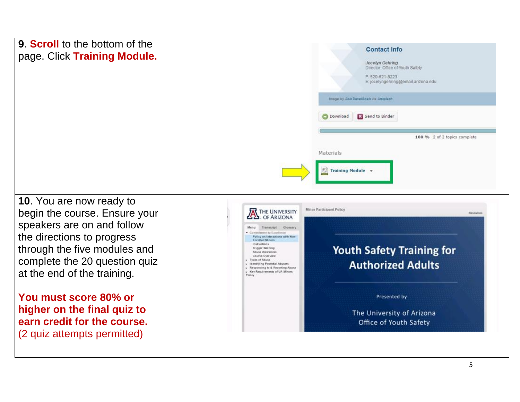| 9. <b>Scroll</b> to the bottom of the<br>page. Click Training Module. | <b>Contact Info</b><br>Jocelyn Gehring<br>Director. Office of Youth Safety<br>P: 520-621-8223<br>E: jocelyngehring@email.arizona.edu |
|-----------------------------------------------------------------------|--------------------------------------------------------------------------------------------------------------------------------------|
|                                                                       | Image by Solo Trave/Goals via Unaplash                                                                                               |
|                                                                       | <b>B</b> Send to Binder<br>O Download                                                                                                |
|                                                                       | 100 % 2 of 2 topics complete                                                                                                         |
|                                                                       | Materials<br>$\circledS$ Training Module $\rightarrow$                                                                               |
| $10$ Vou are now ready to                                             |                                                                                                                                      |

**10**. You are now ready to begin the course. Ensure your speakers are on and follow the directions to progress through the five modules and complete the 20 question quiz at the end of the training.

**You must score 80% or higher on the final quiz to earn credit for the course.**  (2 quiz attempts permitted)

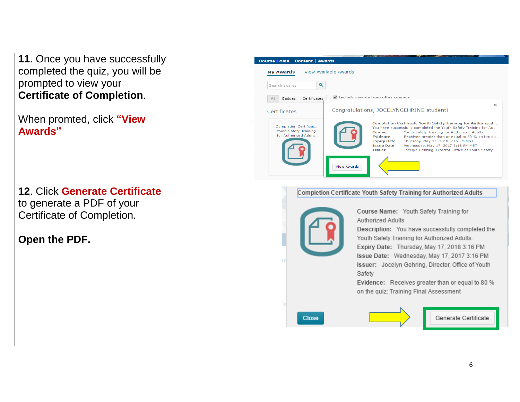**11**. Once you have successfully completed the quiz, you will be prompted to view your **Certificate of Completion**.

When promted, click **"View Awards"**

| Course Home   Content   Awards                                          |                                                                                                                                                                                                                                                                                                                                                                                                                                                               |
|-------------------------------------------------------------------------|---------------------------------------------------------------------------------------------------------------------------------------------------------------------------------------------------------------------------------------------------------------------------------------------------------------------------------------------------------------------------------------------------------------------------------------------------------------|
| View Available Awards<br><b>My Awards</b>                               |                                                                                                                                                                                                                                                                                                                                                                                                                                                               |
| Q<br>Search awards                                                      |                                                                                                                                                                                                                                                                                                                                                                                                                                                               |
| All<br>Badges<br>Certificates                                           | Include awards from other courses                                                                                                                                                                                                                                                                                                                                                                                                                             |
| Certificates                                                            | $\times$<br>Congratulations, JOCELYNGEHRING student!                                                                                                                                                                                                                                                                                                                                                                                                          |
| Completion Certificat<br>Youth Safety Training<br>for Authorized Adults | Completion Certificate Youth Safety Training for Authorized<br>You have successfully completed the Youth Safety Training for Au<br>Youth Safety Training for Authorized Adults<br>Course<br><b>Fuidence</b><br>Receives greater than or equal to 80 % on the qu<br>Thursday, May 17, 2018 3:16 PM MST<br><b>Expiry Date</b><br><b>Issue Date</b><br>Wednesday, May 17, 2017 3:16 PM MST<br>Jocelyn Gehring, Director, Office of Youth Safety<br><b>Tssuer</b> |
| <b>View Awards</b>                                                      |                                                                                                                                                                                                                                                                                                                                                                                                                                                               |

## **12**. Click **Generate Certificate** to generate a PDF of your Certificate of Completion.

## **Open the PDF.**

Completion Certificate Youth Safety Training for Authorized Adults



Course Name: Youth Safety Training for Authorized Adults

Description: You have successfully completed the Youth Safety Training for Authorized Adults.

Expiry Date: Thursday, May 17, 2018 3:16 PM Issue Date: Wednesday, May 17, 2017 3:16 PM Issuer: Jocelyn Gehring, Director, Office of Youth Safety

Evidence: Receives greater than or equal to 80 % on the quiz: Training Final Assessment